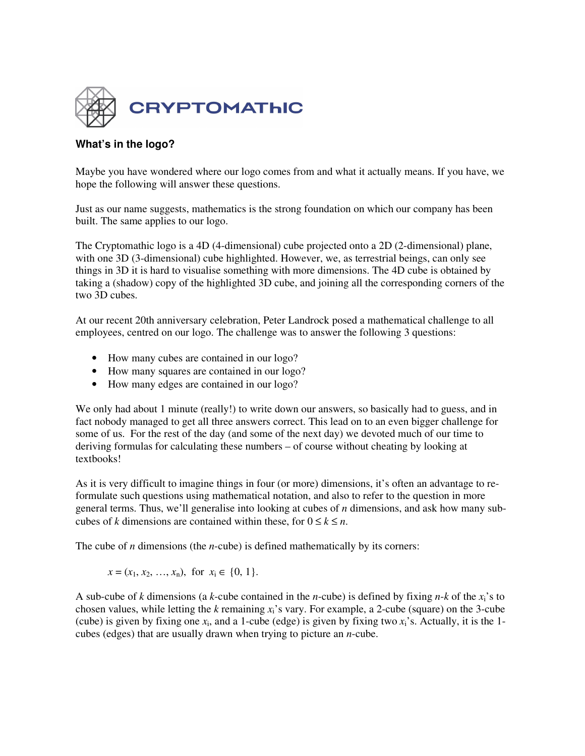

## **What's in the logo?**

Maybe you have wondered where our logo comes from and what it actually means. If you have, we hope the following will answer these questions.

Just as our name suggests, mathematics is the strong foundation on which our company has been built. The same applies to our logo.

The Cryptomathic logo is a 4D (4-dimensional) cube projected onto a 2D (2-dimensional) plane, with one 3D (3-dimensional) cube highlighted. However, we, as terrestrial beings, can only see things in 3D it is hard to visualise something with more dimensions. The 4D cube is obtained by taking a (shadow) copy of the highlighted 3D cube, and joining all the corresponding corners of the two 3D cubes.

At our recent 20th anniversary celebration, Peter Landrock posed a mathematical challenge to all employees, centred on our logo. The challenge was to answer the following 3 questions:

- How many cubes are contained in our logo?
- How many squares are contained in our logo?
- How many edges are contained in our logo?

We only had about 1 minute (really!) to write down our answers, so basically had to guess, and in fact nobody managed to get all three answers correct. This lead on to an even bigger challenge for some of us. For the rest of the day (and some of the next day) we devoted much of our time to deriving formulas for calculating these numbers – of course without cheating by looking at textbooks!

As it is very difficult to imagine things in four (or more) dimensions, it's often an advantage to reformulate such questions using mathematical notation, and also to refer to the question in more general terms. Thus, we'll generalise into looking at cubes of *n* dimensions, and ask how many subcubes of *k* dimensions are contained within these, for  $0 \le k \le n$ .

The cube of *n* dimensions (the *n*-cube) is defined mathematically by its corners:

 $x = (x_1, x_2, \ldots, x_n)$ , for  $x_i \in \{0, 1\}$ .

A sub-cube of *k* dimensions (a *k*-cube contained in the *n*-cube) is defined by fixing *n*-*k* of the  $x_i$ 's to chosen values, while letting the *k* remaining *x*i's vary. For example, a 2-cube (square) on the 3-cube (cube) is given by fixing one  $x_i$ , and a 1-cube (edge) is given by fixing two  $x_i$ 's. Actually, it is the 1cubes (edges) that are usually drawn when trying to picture an *n*-cube.